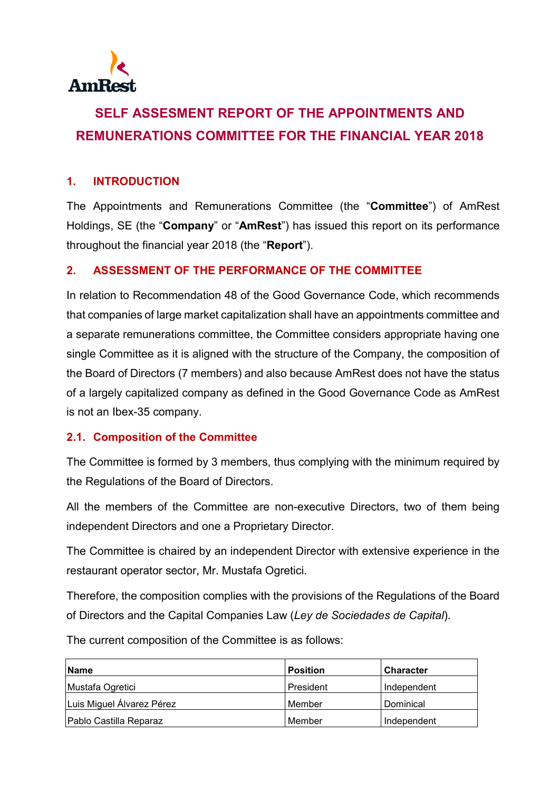

# **SELF ASSESMENT REPORT OF THE APPOINTMENTS AND REMUNERATIONS COMMITTEE FOR THE FINANCIAL YEAR 2018**

## **1. INTRODUCTION**

The Appointments and Remunerations Committee (the "**Committee**") of AmRest Holdings, SE (the "**Company**" or "**AmRest**") has issued this report on its performance throughout the financial year 2018 (the "**Report**").

#### **2. ASSESSMENT OF THE PERFORMANCE OF THE COMMITTEE**

In relation to Recommendation 48 of the Good Governance Code, which recommends that companies of large market capitalization shall have an appointments committee and a separate remunerations committee, the Committee considers appropriate having one single Committee as it is aligned with the structure of the Company, the composition of the Board of Directors (7 members) and also because AmRest does not have the status of a largely capitalized company as defined in the Good Governance Code as AmRest is not an Ibex-35 company.

#### **2.1. Composition of the Committee**

The Committee is formed by 3 members, thus complying with the minimum required by the Regulations of the Board of Directors.

All the members of the Committee are non-executive Directors, two of them being independent Directors and one a Proprietary Director.

The Committee is chaired by an independent Director with extensive experience in the restaurant operator sector, Mr. Mustafa Ogretici.

Therefore, the composition complies with the provisions of the Regulations of the Board of Directors and the Capital Companies Law (*Ley de Sociedades de Capital*).

The current composition of the Committee is as follows:

| Name                      | <b>Position</b> | <b>Character</b> |
|---------------------------|-----------------|------------------|
| Mustafa Ogretici          | President       | Independent      |
| Luis Miguel Álvarez Pérez | Member          | Dominical        |
| Pablo Castilla Reparaz    | Member          | Independent      |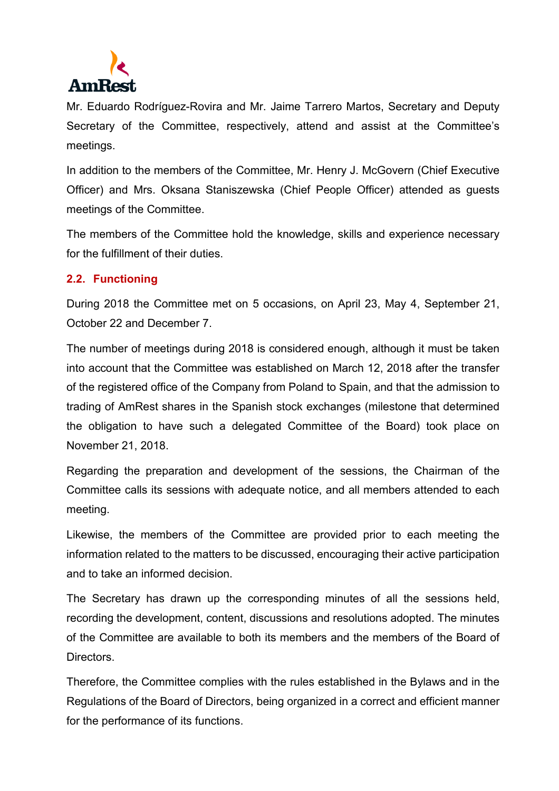

Mr. Eduardo Rodríguez-Rovira and Mr. Jaime Tarrero Martos, Secretary and Deputy Secretary of the Committee, respectively, attend and assist at the Committee's meetings.

In addition to the members of the Committee, Mr. Henry J. McGovern (Chief Executive Officer) and Mrs. Oksana Staniszewska (Chief People Officer) attended as guests meetings of the Committee.

The members of the Committee hold the knowledge, skills and experience necessary for the fulfillment of their duties.

#### **2.2. Functioning**

During 2018 the Committee met on 5 occasions, on April 23, May 4, September 21, October 22 and December 7.

The number of meetings during 2018 is considered enough, although it must be taken into account that the Committee was established on March 12, 2018 after the transfer of the registered office of the Company from Poland to Spain, and that the admission to trading of AmRest shares in the Spanish stock exchanges (milestone that determined the obligation to have such a delegated Committee of the Board) took place on November 21, 2018.

Regarding the preparation and development of the sessions, the Chairman of the Committee calls its sessions with adequate notice, and all members attended to each meeting.

Likewise, the members of the Committee are provided prior to each meeting the information related to the matters to be discussed, encouraging their active participation and to take an informed decision.

The Secretary has drawn up the corresponding minutes of all the sessions held, recording the development, content, discussions and resolutions adopted. The minutes of the Committee are available to both its members and the members of the Board of **Directors** 

Therefore, the Committee complies with the rules established in the Bylaws and in the Regulations of the Board of Directors, being organized in a correct and efficient manner for the performance of its functions.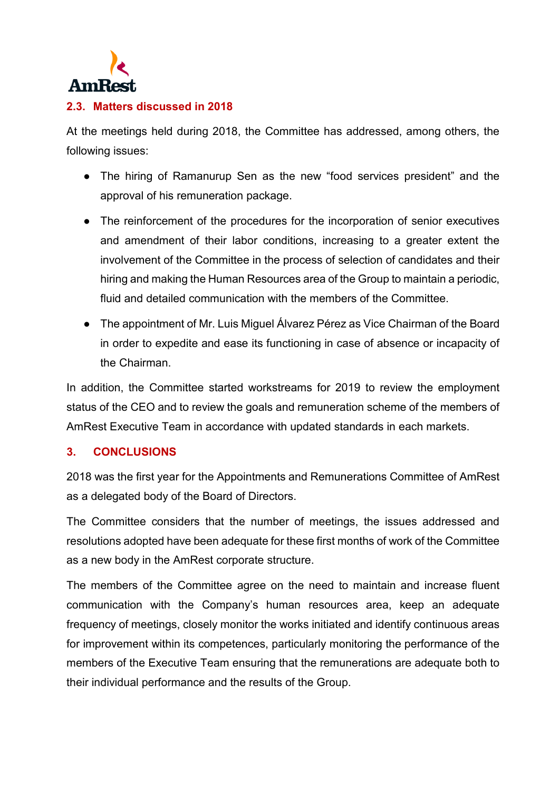

### **2.3. Matters discussed in 2018**

At the meetings held during 2018, the Committee has addressed, among others, the following issues:

- The hiring of Ramanurup Sen as the new "food services president" and the approval of his remuneration package.
- The reinforcement of the procedures for the incorporation of senior executives and amendment of their labor conditions, increasing to a greater extent the involvement of the Committee in the process of selection of candidates and their hiring and making the Human Resources area of the Group to maintain a periodic, fluid and detailed communication with the members of the Committee.
- The appointment of Mr. Luis Miguel Álvarez Pérez as Vice Chairman of the Board in order to expedite and ease its functioning in case of absence or incapacity of the Chairman.

In addition, the Committee started workstreams for 2019 to review the employment status of the CEO and to review the goals and remuneration scheme of the members of AmRest Executive Team in accordance with updated standards in each markets.

#### **3. CONCLUSIONS**

2018 was the first year for the Appointments and Remunerations Committee of AmRest as a delegated body of the Board of Directors.

The Committee considers that the number of meetings, the issues addressed and resolutions adopted have been adequate for these first months of work of the Committee as a new body in the AmRest corporate structure.

The members of the Committee agree on the need to maintain and increase fluent communication with the Company's human resources area, keep an adequate frequency of meetings, closely monitor the works initiated and identify continuous areas for improvement within its competences, particularly monitoring the performance of the members of the Executive Team ensuring that the remunerations are adequate both to their individual performance and the results of the Group.